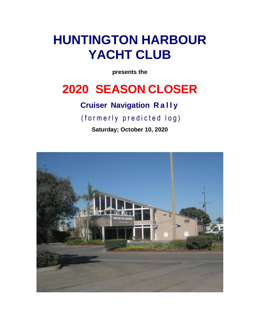# **HUNTINGTON HARBOUR YACHT CLUB**

**presents the**

## **2020 SEASON CLOSER**

### **Cruiser Navigation R a l l y**

(formerly predicted log)

**Saturday; October 10, 2020**

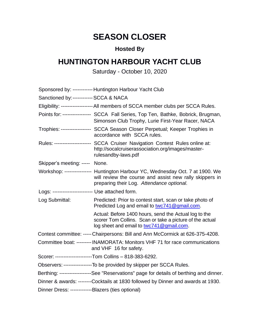## **SEASON CLOSER**

#### **Hosted By**

### **HUNTINGTON HARBOUR YACHT CLUB**

Saturday - October 10, 2020

|                                                     | Sponsored by: ------------ Huntington Harbour Yacht Club                                                                                                                              |
|-----------------------------------------------------|---------------------------------------------------------------------------------------------------------------------------------------------------------------------------------------|
| Sanctioned by: ------------ SCCA & NACA             |                                                                                                                                                                                       |
|                                                     | Eligibility: ------------------- All members of SCCA member clubs per SCCA Rules.                                                                                                     |
|                                                     | Points for: ---------------- SCCA Fall Series, Top Ten, Bathke, Bobrick, Brugman,<br>Simonson Club Trophy, Lurie First-Year Racer, NACA                                               |
|                                                     | Trophies: ----------------- SCCA Season Closer Perpetual; Keeper Trophies in<br>accordance with SCCA rules.                                                                           |
|                                                     | Rules: --------------------- SCCA Cruiser Navigation Contest Rules online at:<br>http://socalcruiserassociation.org/images/master-<br>rulesandby-laws.pdf                             |
| Skipper's meeting: ----- None.                      |                                                                                                                                                                                       |
|                                                     | Workshop: --------------- Huntington Harbour YC, Wednesday Oct. 7 at 1900. We<br>will review the course and assist new rally skippers in<br>preparing their Log. Attendance optional. |
| Logs: ------------------------ Use attached form.   |                                                                                                                                                                                       |
| Log Submittal:                                      | Predicted: Prior to contest start, scan or take photo of<br>Predicted Log and email to twc741@gmail.com.                                                                              |
|                                                     | Actual: Before 1400 hours, send the Actual log to the<br>scorer Tom Collins. Scan or take a picture of the actual<br>log sheet and email to twc741@gmail.com.                         |
|                                                     | Contest committee: ----- Chairpersons: Bill and Ann McCormick at 626-375-4208.                                                                                                        |
|                                                     | Committee boat: -------- INAMORATA: Monitors VHF 71 for race communications<br>and VHF 16 for safety.                                                                                 |
|                                                     | Scorer: ----------------------Tom Collins - 818-383-6292.                                                                                                                             |
|                                                     | Observers: -----------------To be provided by skipper per SCCA Rules.                                                                                                                 |
|                                                     | Berthing: -------------------See "Reservations" page for details of berthing and dinner.                                                                                              |
|                                                     | Dinner & awards: -------Cocktails at 1830 followed by Dinner and awards at 1930.                                                                                                      |
| Dinner Dress: --------------Blazers (ties optional) |                                                                                                                                                                                       |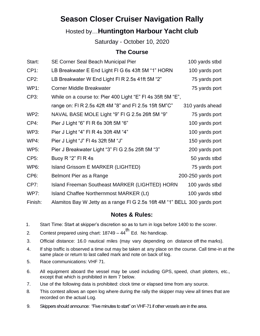### **Season Closer Cruiser Navigation Rally**

#### Hosted by…**Huntington Harbour Yacht club**

Saturday - October 10, 2020

#### **The Course**

| Start:            | SE Corner Seal Beach Municipal Pier                                       | 100 yards stbd     |
|-------------------|---------------------------------------------------------------------------|--------------------|
| CP <sub>1</sub> : | LB Breakwater E End Light FI G 6s 43ft 5M "1" HORN                        | 100 yards port     |
| $CP2$ :           | LB Breakwater W End Light FI R 2.5s 41ft 5M "2"                           | 75 yards port      |
| <b>WP1:</b>       | <b>Corner Middle Breakwater</b>                                           | 75 yards port      |
| CP3:              | While on a course to: Pier 400 Light "E" FI 4s 35ft 5M "E",               |                    |
|                   | range on: FI R 2.5s 42ft 4M "8" and FI 2.5s 15ft 5M"C"                    | 310 yards ahead    |
| <b>WP2:</b>       | NAVAL BASE MOLE Light "9" FI G 2.5s 26ft 5M "9"                           | 75 yards port      |
| CP4:              | Pier J Light "6" FI R 6s 30ft 5M "6"                                      | 100 yards port     |
| <b>WP3:</b>       | Pier J Light "4" FI R 4s 30ft 4M "4"                                      | 100 yards port     |
| WP4:              | Pier J Light "J" FI 4s 32ft 5M "J"                                        | 150 yards port     |
| <b>WP5:</b>       | Pier J Breakwater Light "3" FI G 2.5s 25ft 5M "3"                         | 200 yards port     |
| CP5:              | Buoy R "2" FI R 4s                                                        | 50 yards stbd      |
| WP6:              | Island Grissom E MARKER (LIGHTED)                                         | 75 yards port      |
| CP <sub>6</sub> : | Belmont Pier as a Range                                                   | 200-250 yards port |
| CP7:              | <b>Island Freeman Southeast MARKER (LIGHTED) HORN</b>                     | 100 yards stbd     |
| <b>WP7:</b>       | Island Chaffee Northernmost MARKER (Lt)                                   | 100 yards stbd     |
| Finish:           | Alamitos Bay W Jetty as a range FI G 2.5s 16ft 4M "1" BELL 300 yards port |                    |

#### **Notes & Rules:**

- 1. Start Time: Start at skipper's discretion so as to turn in logs before 1400 to the scorer.
- 2. Contest prepared using chart:  $18749 44$ <sup>th</sup> Ed. No handicap.
- 3. Official distance: 16.0 nautical miles (may vary depending on distance off the marks).
- 4. If ship traffic is observed a time out may be taken at any place on the course. Call time-in at the same place or return to last called mark and note on back of log.
- 5. Race communications: VHF 71.
- 6. All equipment aboard the vessel may be used including GPS, speed, chart plotters, etc., except that which is prohibited in item 7 below.
- 7. Use of the following data is prohibited: clock time or elapsed time from any source.
- 8. This contest allows an open log where during the rally the skipper may view all times that are recorded on the actual Log.
- 9. Skippers should announce: "Five minutes to start" on VHF-71 if other vessels are in the area.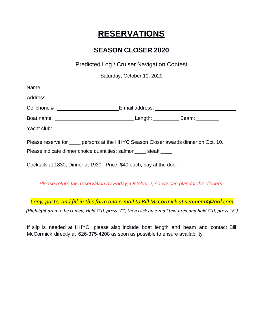### **RESERVATIONS**

### **SEASON CLOSER 2020**

Predicted Log / Cruiser Navigation Contest

Saturday; October 10, 2020

|             | Cellphone # ____________________________E-mail address: ________________________     |  |
|-------------|--------------------------------------------------------------------------------------|--|
|             |                                                                                      |  |
| Yacht club: |                                                                                      |  |
|             | Please reserve for ____ persons at the HHYC Season Closer awards dinner on Oct. 10.  |  |
|             | Please indicate dinner choice quantities: salmon_____ steak _____.                   |  |
|             | Cocktails at 1830, Dinner at 1930. Price: \$40 each, pay at the door.                |  |
|             | Please return this reservation by Friday, October 2, so we can plan for the dinners. |  |

*Copy, paste, and fill-in this form and e-mail to Bill McCormick at seament4@aol.com*

*(Highlight area to be copied, Hold Ctrl, press "C", then click on e-mail text area and hold Ctrl, press "V")*

If slip is needed at HHYC, please also include boat length and beam and contact Bill McCormick directly at 626-375-4208 as soon as possible to ensure availability